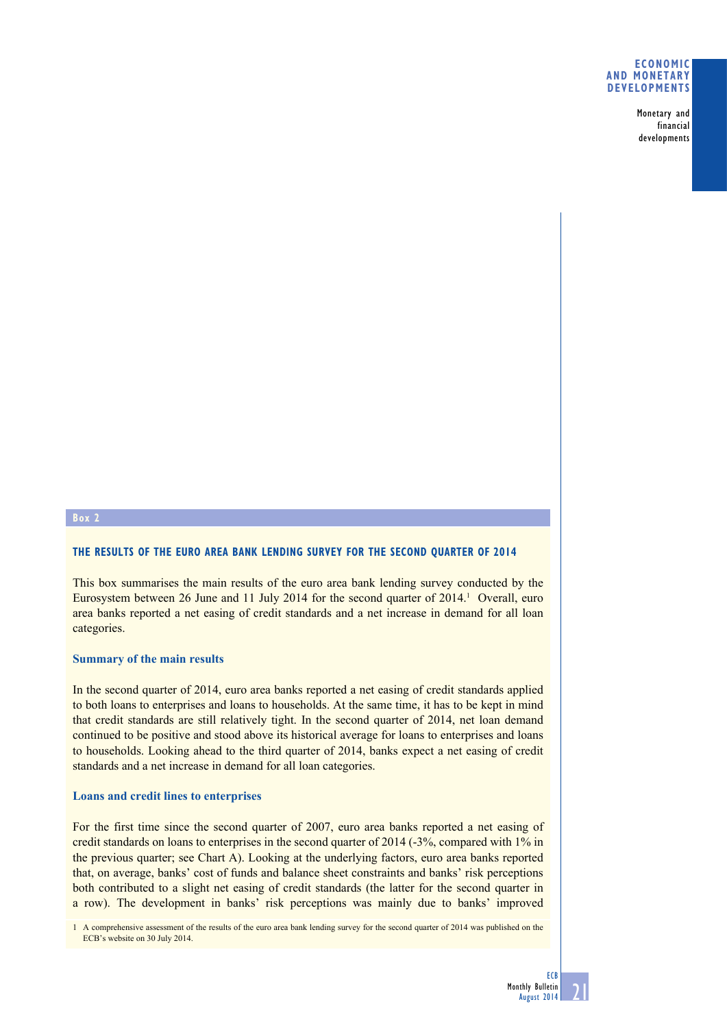## **Economic and monetary developments**

Monetary and financial developments

# **Box 2**

# **The results of the euro area bank lending survey for the second quarter of 2014**

This box summarises the main results of the euro area bank lending survey conducted by the Eurosystem between 26 June and 11 July 2014 for the second quarter of 2014.<sup>1</sup> Overall, euro area banks reported a net easing of credit standards and a net increase in demand for all loan categories.

# **Summary of the main results**

In the second quarter of 2014, euro area banks reported a net easing of credit standards applied to both loans to enterprises and loans to households. At the same time, it has to be kept in mind that credit standards are still relatively tight. In the second quarter of 2014, net loan demand continued to be positive and stood above its historical average for loans to enterprises and loans to households. Looking ahead to the third quarter of 2014, banks expect a net easing of credit standards and a net increase in demand for all loan categories.

# **Loans and credit lines to enterprises**

For the first time since the second quarter of 2007, euro area banks reported a net easing of credit standards on loans to enterprises in the second quarter of 2014 (-3%, compared with 1% in the previous quarter; see Chart A). Looking at the underlying factors, euro area banks reported that, on average, banks' cost of funds and balance sheet constraints and banks' risk perceptions both contributed to a slight net easing of credit standards (the latter for the second quarter in a row). The development in banks' risk perceptions was mainly due to banks' improved

1 A comprehensive assessment of the results of the euro area bank lending survey for the second quarter of 2014 was published on the ECB's website on 30 July 2014.

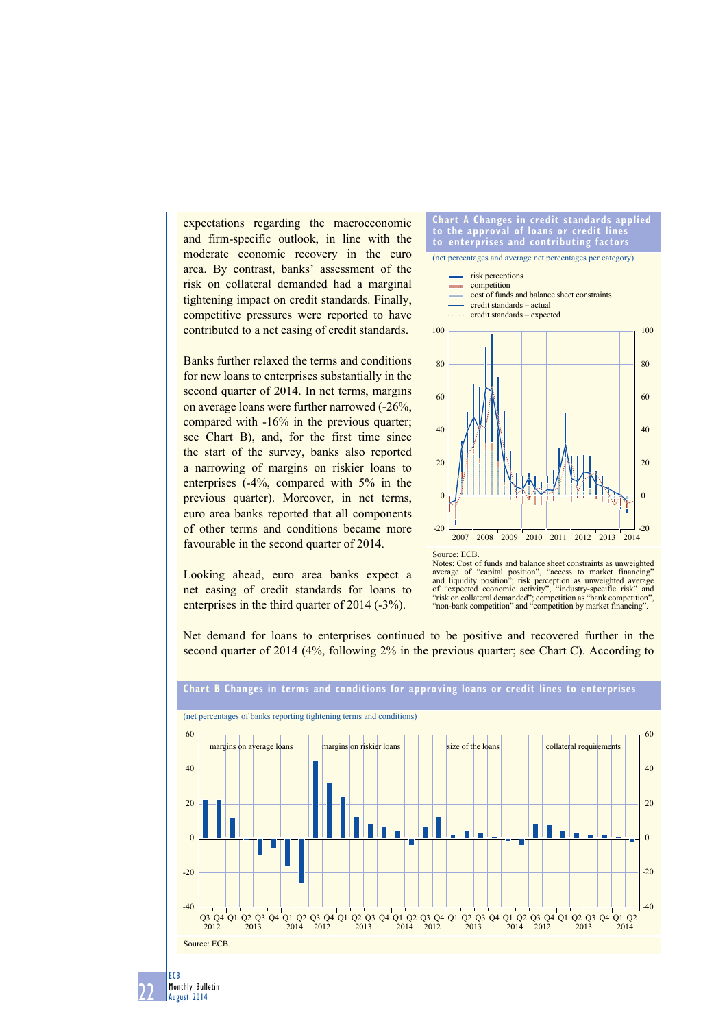expectations regarding the macroeconomic and firm-specific outlook, in line with the moderate economic recovery in the euro area. By contrast, banks' assessment of the risk on collateral demanded had a marginal tightening impact on credit standards. Finally, competitive pressures were reported to have contributed to a net easing of credit standards.

Banks further relaxed the terms and conditions for new loans to enterprises substantially in the second quarter of 2014. In net terms, margins on average loans were further narrowed (-26%, compared with -16% in the previous quarter; see Chart B), and, for the first time since the start of the survey, banks also reported a narrowing of margins on riskier loans to enterprises (-4%, compared with 5% in the previous quarter). Moreover, in net terms, euro area banks reported that all components of other terms and conditions became more favourable in the second quarter of 2014.

Looking ahead, euro area banks expect a net easing of credit standards for loans to enterprises in the third quarter of 2014 (-3%).





Net demand for loans to enterprises continued to be positive and recovered further in the second quarter of 2014 (4%, following 2% in the previous quarter; see Chart C). According to



22 Monthly Bulletin August 2014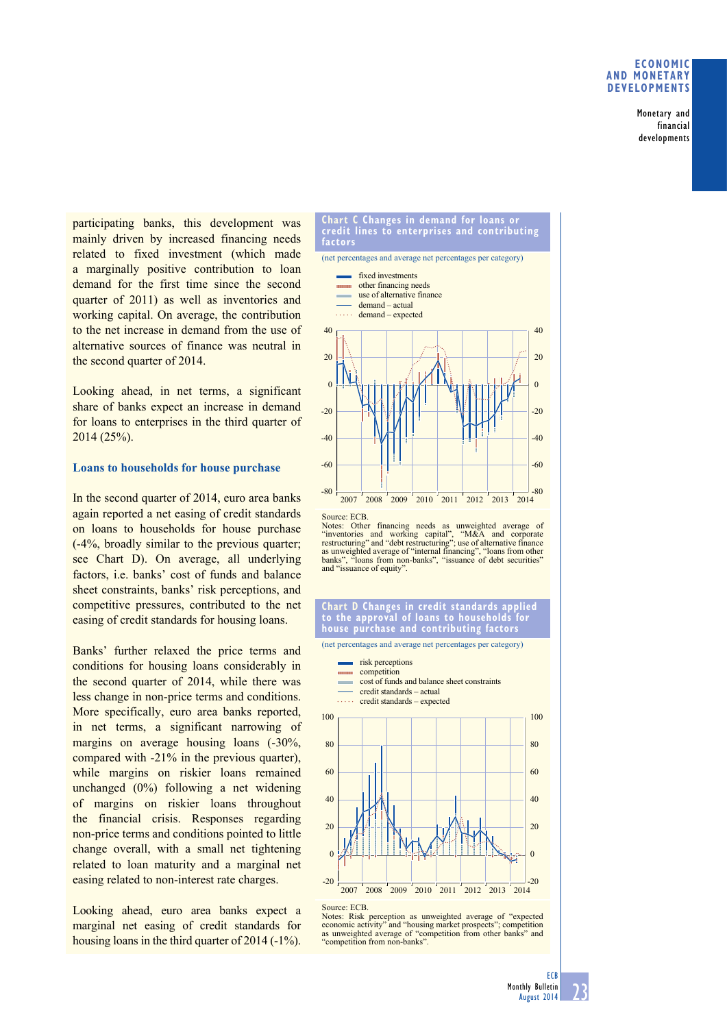# **Economic and monetary developments**

Monetary and financial developments

participating banks, this development was mainly driven by increased financing needs related to fixed investment (which made a marginally positive contribution to loan demand for the first time since the second quarter of 2011) as well as inventories and working capital. On average, the contribution to the net increase in demand from the use of alternative sources of finance was neutral in the second quarter of 2014.

Looking ahead, in net terms, a significant share of banks expect an increase in demand for loans to enterprises in the third quarter of 2014 (25%).

## **Loans to households for house purchase**

In the second quarter of 2014, euro area banks again reported a net easing of credit standards on loans to households for house purchase (-4%, broadly similar to the previous quarter; see Chart D). On average, all underlying factors, i.e. banks' cost of funds and balance sheet constraints, banks' risk perceptions, and competitive pressures, contributed to the net easing of credit standards for housing loans.

Banks' further relaxed the price terms and conditions for housing loans considerably in the second quarter of 2014, while there was less change in non-price terms and conditions. More specifically, euro area banks reported, in net terms, a significant narrowing of margins on average housing loans (-30%, compared with -21% in the previous quarter), while margins on riskier loans remained unchanged (0%) following a net widening of margins on riskier loans throughout the financial crisis. Responses regarding non-price terms and conditions pointed to little change overall, with a small net tightening related to loan maturity and a marginal net easing related to non-interest rate charges.

Looking ahead, euro area banks expect a marginal net easing of credit standards for housing loans in the third quarter of 2014 (-1%).

#### **chart c changes in demand for loans or credit lines to enterprises and contributing factors**

(net percentages and average net percentages per category)





Notes: Other financing needs as unweighted average of "inventories and working capital", "M&A and corporate restructuring" and "debt restructuring", use of alternative finance as unweighted average of "internal financing", banks", "loans from non-banks", "issuance of debt securities" and "issuance of equity".

### **chart d changes in credit standards applied to the approval of loans to households for house purchase and contributing factors**

(net percentages and average net percentages per category)

- risk perceptions
- competition **COUNTER**
- cost of funds and balance sheet constraints credit standards – actual
- a a a a credit standards – expected





Notes: Risk perception as unweighted average of "expected economic activity" and "housing market prospects"; competition as unweighted average of "competition from other banks" and "competition from non-banks".

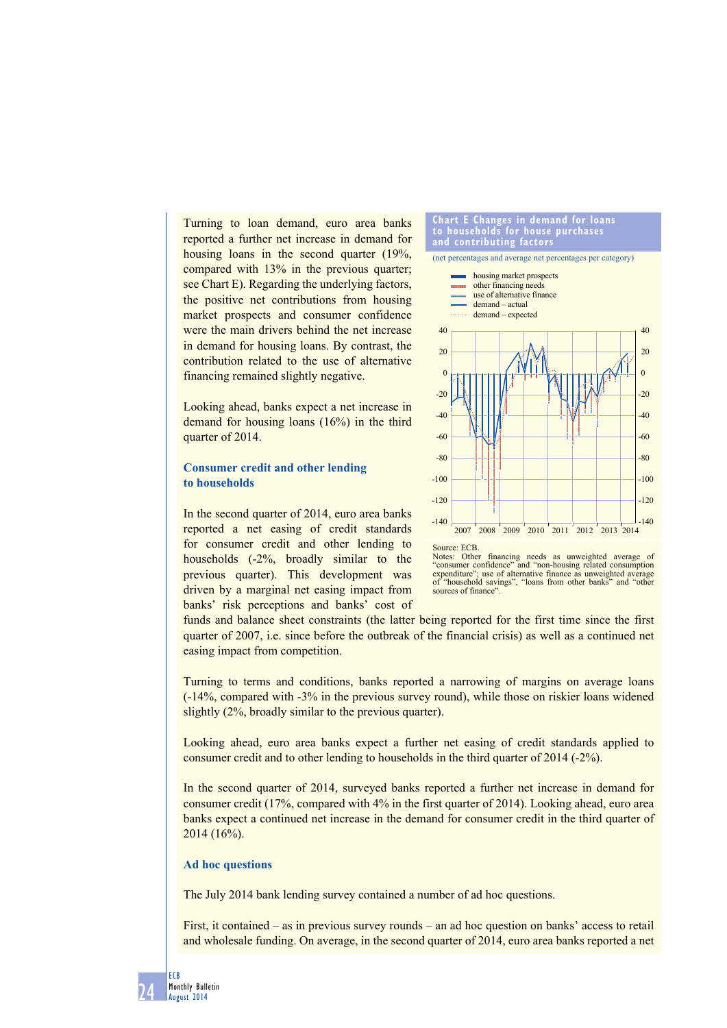Turning to loan demand, euro area banks reported a further net increase in demand for housing loans in the second quarter (19%, compared with 13% in the previous quarter; see Chart E). Regarding the underlying factors, the positive net contributions from housing market prospects and consumer confidence were the main drivers behind the net increase in demand for housing loans. By contrast, the contribution related to the use of alternative financing remained slightly negative.

Looking ahead, banks expect a net increase in demand for housing loans (16%) in the third quarter of 2014.

# **Consumer credit and other lending to households**

In the second quarter of 2014, euro area banks reported a net easing of credit standards for consumer credit and other lending to households (-2%, broadly similar to the previous quarter). This development was driven by a marginal net easing impact from banks' risk perceptions and banks' cost of





funds and balance sheet constraints (the latter being reported for the first time since the first quarter of 2007, i.e. since before the outbreak of the financial crisis) as well as a continued net easing impact from competition.

Turning to terms and conditions, banks reported a narrowing of margins on average loans (-14%, compared with -3% in the previous survey round), while those on riskier loans widened slightly (2%, broadly similar to the previous quarter).

Looking ahead, euro area banks expect a further net easing of credit standards applied to consumer credit and to other lending to households in the third quarter of 2014 (-2%).

In the second quarter of 2014, surveyed banks reported a further net increase in demand for consumer credit (17%, compared with 4% in the first quarter of 2014). Looking ahead, euro area banks expect a continued net increase in the demand for consumer credit in the third quarter of 2014 (16%).

# **Ad hoc questions**

The July 2014 bank lending survey contained a number of ad hoc questions.

First, it contained – as in previous survey rounds – an ad hoc question on banks' access to retail and wholesale funding. On average, in the second quarter of 2014, euro area banks reported a net

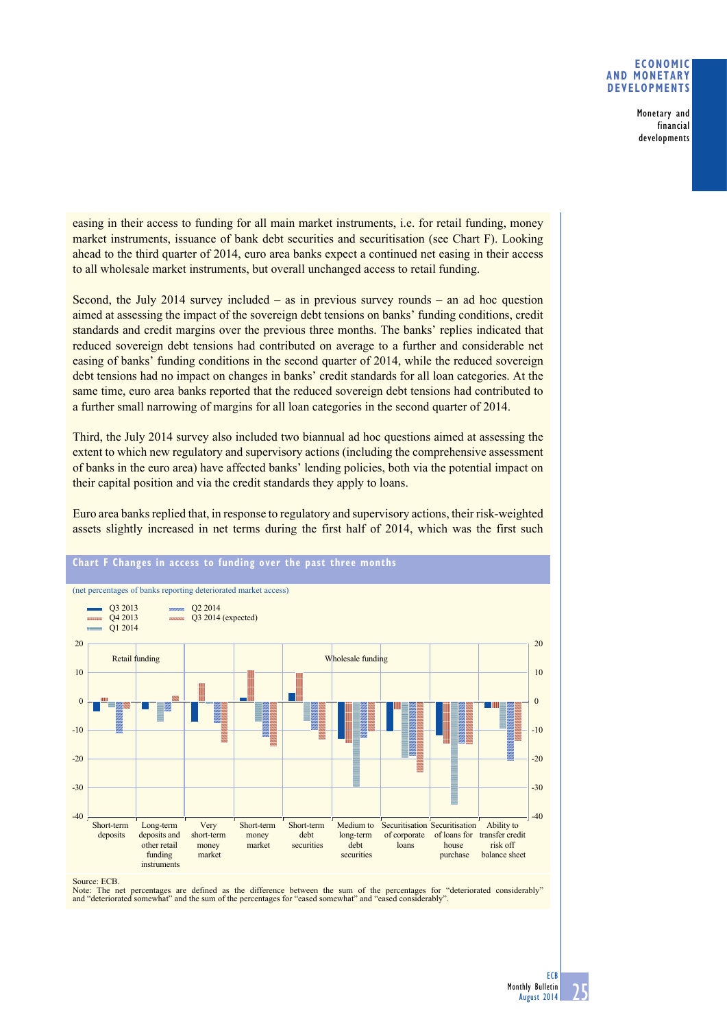# **Economic and monetary developments**

Monetary and financial developments

easing in their access to funding for all main market instruments, i.e. for retail funding, money market instruments, issuance of bank debt securities and securitisation (see Chart F). Looking ahead to the third quarter of 2014, euro area banks expect a continued net easing in their access to all wholesale market instruments, but overall unchanged access to retail funding.

Second, the July 2014 survey included – as in previous survey rounds – an ad hoc question aimed at assessing the impact of the sovereign debt tensions on banks' funding conditions, credit standards and credit margins over the previous three months. The banks' replies indicated that reduced sovereign debt tensions had contributed on average to a further and considerable net easing of banks' funding conditions in the second quarter of 2014, while the reduced sovereign debt tensions had no impact on changes in banks' credit standards for all loan categories. At the same time, euro area banks reported that the reduced sovereign debt tensions had contributed to a further small narrowing of margins for all loan categories in the second quarter of 2014.

Third, the July 2014 survey also included two biannual ad hoc questions aimed at assessing the extent to which new regulatory and supervisory actions (including the comprehensive assessment of banks in the euro area) have affected banks' lending policies, both via the potential impact on their capital position and via the credit standards they apply to loans.

Euro area banks replied that, in response to regulatory and supervisory actions, their risk-weighted assets slightly increased in net terms during the first half of 2014, which was the first such



**chart f changes in access to funding over the past three months**

Source: ECB.

Note: The net percentages are defined as the difference between the sum of the percentages for "deteriorated considerably"<br>and "deteriorated somewhat" and the sum of the percentages for "eased somewhat" and "eased consider